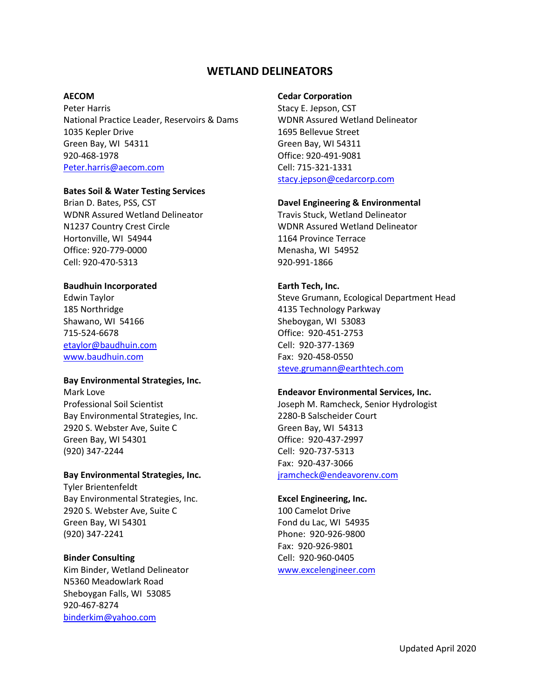# **WETLAND DELINEATORS**

## **AECOM**

Peter Harris National Practice Leader, Reservoirs & Dams 1035 Kepler Drive Green Bay, WI 54311 920-468-1978 [Peter.harris@aecom.com](mailto:Peter.harris@aecom.com)

#### **Bates Soil & Water Testing Services**

Brian D. Bates, PSS, CST WDNR Assured Wetland Delineator N1237 Country Crest Circle Hortonville, WI 54944 Office: 920-779-0000 Cell: 920-470-5313

#### **Baudhuin Incorporated**

Edwin Taylor 185 Northridge Shawano, WI 54166 715-524-6678 [etaylor@baudhuin.com](mailto:etaylor@baudhuin.com) [www.baudhuin.com](http://www.baudhuin.com/)

#### **Bay Environmental Strategies, Inc.**

Mark Love Professional Soil Scientist Bay Environmental Strategies, Inc. 2920 S. Webster Ave, Suite C Green Bay, WI 54301 (920) 347-2244

## **Bay Environmental Strategies, Inc.**

Tyler Brientenfeldt Bay Environmental Strategies, Inc. 2920 S. Webster Ave, Suite C Green Bay, WI 54301 (920) 347-2241

#### **Binder Consulting**

Kim Binder, Wetland Delineator N5360 Meadowlark Road Sheboygan Falls, WI 53085 920-467-8274 [binderkim@yahoo.com](mailto:binderkim@yahoo.com)

### **Cedar Corporation**

Stacy E. Jepson, CST WDNR Assured Wetland Delineator 1695 Bellevue Street Green Bay, WI 54311 Office: 920-491-9081 Cell: 715-321-1331 [stacy.jepson@cedarcorp.com](mailto:stacy.jepson@cedarcorp.com)

# **Davel Engineering & Environmental**

Travis Stuck, Wetland Delineator WDNR Assured Wetland Delineator 1164 Province Terrace Menasha, WI 54952 920-991-1866

#### **Earth Tech, Inc.**

Steve Grumann, Ecological Department Head 4135 Technology Parkway Sheboygan, WI 53083 Office: 920-451-2753 Cell: 920-377-1369 Fax: 920-458-0550 [steve.grumann@earthtech.com](mailto:steve.grumann@earthtech.com)

#### **Endeavor Environmental Services, Inc.**

Joseph M. Ramcheck, Senior Hydrologist 2280-B Salscheider Court Green Bay, WI 54313 Office: 920-437-2997 Cell: 920-737-5313 Fax: 920-437-3066 [jramcheck@endeavorenv.com](mailto:jramcheck@endeavorenv.com)

#### **Excel Engineering, Inc.**

100 Camelot Drive Fond du Lac, WI 54935 Phone: 920-926-9800 Fax: 920-926-9801 Cell: 920-960-0405 [www.excelengineer.com](http://www.excelengineer.com/)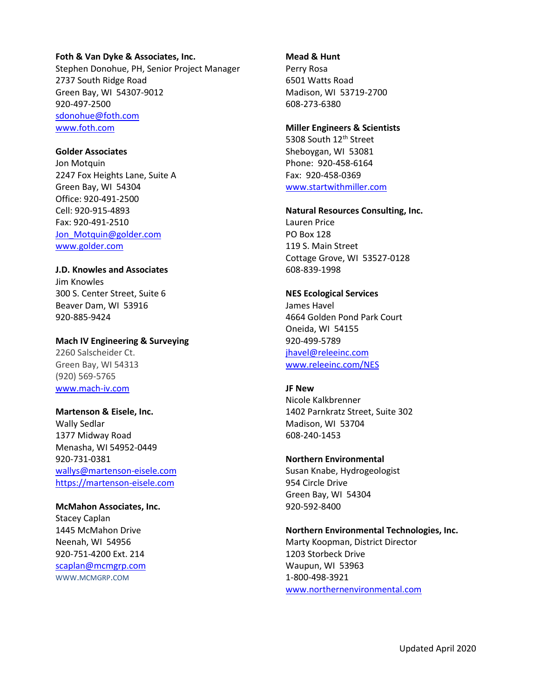#### **Foth & Van Dyke & Associates, Inc.**

Stephen Donohue, PH, Senior Project Manager 2737 South Ridge Road Green Bay, WI 54307-9012 920-497-2500 [sdonohue@foth.com](mailto:sdonohue@foth.com) [www.foth.com](http://www.foth.com/)

# **Golder Associates**

Jon Motquin 2247 Fox Heights Lane, Suite A Green Bay, WI 54304 Office: 920-491-2500 Cell: 920-915-4893 Fax: 920-491-2510 [Jon\\_Motquin@golder.com](mailto:Jon_Motquin@golder.com) [www.golder.com](http://www.golder.com/)

# **J.D. Knowles and Associates**

Jim Knowles 300 S. Center Street, Suite 6 Beaver Dam, WI 53916 920-885-9424

## **Mach IV Engineering & Surveying**

2260 Salscheider Ct. Green Bay, WI 54313 (920) 569-5765 [www.mach-iv.com](http://www.mach-iv.com/)

# **Martenson & Eisele, Inc.**

Wally Sedlar 1377 Midway Road Menasha, WI 54952-0449 920-731-0381 [wallys@martenson-eisele.com](mailto:wallys@martenson-eisele.com) [https://martenson-eisele.com](https://martenson-eisele.com/index.php)

# **McMahon Associates, Inc.**

Stacey Caplan 1445 McMahon Drive Neenah, WI 54956 920-751-4200 Ext. 214 [scaplan@mcmgrp.com](mailto:scaplan@mcmgrp.com) WWW.MCMGRP.COM

# **Mead & Hunt**

Perry Rosa 6501 Watts Road Madison, WI 53719-2700 608-273-6380

# **Miller Engineers & Scientists**

5308 South 12<sup>th</sup> Street Sheboygan, WI 53081 Phone: 920-458-6164 Fax: 920-458-0369 [www.startwithmiller.com](http://www.startwithmiller.com/)

#### **Natural Resources Consulting, Inc.**

Lauren Price PO Box 128 119 S. Main Street Cottage Grove, WI 53527-0128 608-839-1998

# **NES Ecological Services**

James Havel 4664 Golden Pond Park Court Oneida, WI 54155 920-499-5789 [jhavel@releeinc.com](mailto:jhavel@releeinc.com) [www.releeinc.com/NES](http://www.releeinc.com/NES)

# **JF New**

Nicole Kalkbrenner 1402 Parnkratz Street, Suite 302 Madison, WI 53704 608-240-1453

# **Northern Environmental**

Susan Knabe, Hydrogeologist 954 Circle Drive Green Bay, WI 54304 920-592-8400

# **Northern Environmental Technologies, Inc.**

Marty Koopman, District Director 1203 Storbeck Drive Waupun, WI 53963 1-800-498-3921 [www.northernenvironmental.com](http://www.northernenvironmental.com/)